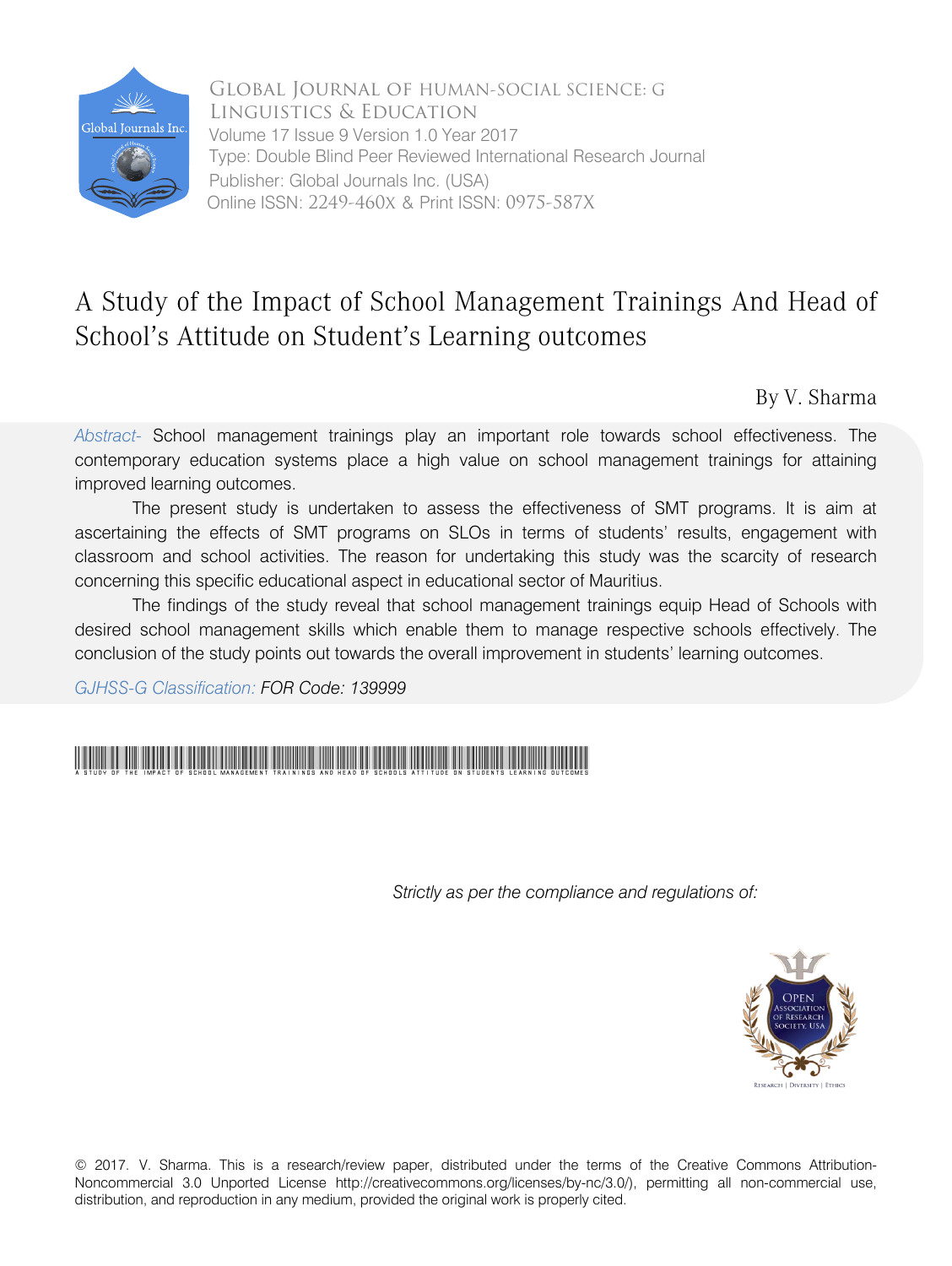

 Type: Double Blind Peer Reviewed International Research Journal Global Journal of HUMAN-SOCIAL SCIENCE: G Linguistics & Education Publisher: Global Journals Inc. (USA) Online ISSN: 2249-460x & Print ISSN: 0975-587X Volume 17 Issue 9 Version 1.0 Year 2017

# A Study of the Impact of School Management Trainings And Head of School's Attitude on Student's Learning outcomes

By V. Sharma

*Abstract-* School management trainings play an important role towards school effectiveness. The contemporary education systems place a high value on school management trainings for attaining improved learning outcomes.

The present study is undertaken to assess the effectiveness of SMT programs. It is aim at ascertaining the effects of SMT programs on SLOs in terms of students' results, engagement with classroom and school activities. The reason for undertaking this study was the scarcity of research concerning this specific educational aspect in educational sector of Mauritius.

The findings of the study reveal that school management trainings equip Head of Schools with desired school management skills which enable them to manage respective schools effectively. The conclusion of the study points out towards the overall improvement in students' learning outcomes.

*GJHSS-G Classification: FOR Code: 139999*

# A Study of the Impact of School Management Trainings And Head of Schools Attitude on Students Learning outcomes

 *Strictly as per the compliance and regulations of:*



© 2017. V. Sharma. This is a research/review paper, distributed under the terms of the Creative Commons Attribution-Noncommercial 3.0 Unported License http://creativecommons.org/licenses/by-nc/3.0/), permitting all non-commercial use, distribution, and reproduction in any medium, provided the original work is properly cited.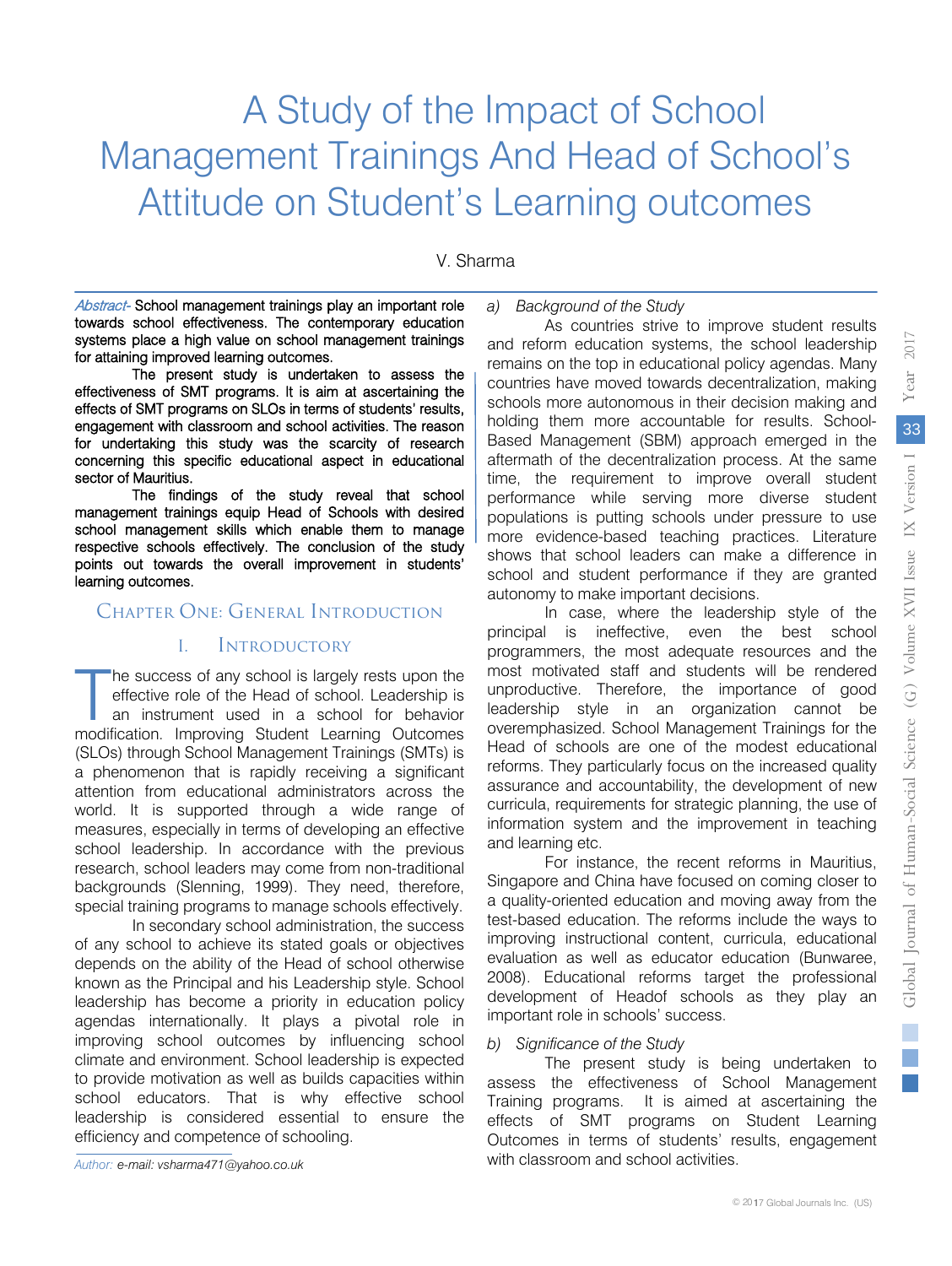# A Study of the Impact of School Management Trainings And Head of School's Attitude on Student's Learning outcomes

V. Sharma

Abstract- School management trainings play an important role towards school effectiveness. The contemporary education systems place a high value on school management trainings for attaining improved learning outcomes.

The present study is undertaken to assess the effectiveness of SMT programs. It is aim at ascertaining the effects of SMT programs on SLOs in terms of students' results, engagement with classroom and school activities. The reason for undertaking this study was the scarcity of research concerning this specific educational aspect in educational sector of Mauritius.

The findings of the study reveal that school management trainings equip Head of Schools with desired school management skills which enable them to manage respective schools effectively. The conclusion of the study points out towards the overall improvement in students' learning outcomes.

# Chapter One: General Introduction

# I. Introductory

he success of any school is largely rests upon the effective role of the Head of school. Leadership is an instrument used in a school for behavior The success of any school is largely rests upon the effective role of the Head of school. Leadership is an instrument used in a school for behavior modification. Improving Student Learning Outcomes (SLOs) through School Management Trainings (SMTs) is a phenomenon that is rapidly receiving a significant attention from educational administrators across the world. It is supported through a wide range of measures, especially in terms of developing an effective school leadership. In accordance with the previous research, school leaders may come from non-traditional backgrounds (Slenning, 1999). They need, therefore, special training programs to manage schools effectively.

In secondary school administration, the success of any school to achieve its stated goals or objectives depends on the ability of the Head of school otherwise known as the Principal and his Leadership style. School leadership has become a priority in education policy agendas internationally. It plays a pivotal role in improving school outcomes by influencing school climate and environment. School leadership is expected to provide motivation as well as builds capacities within school educators. That is why effective school leadership is considered essential to ensure the efficiency and competence of schooling.

*a) Background of the Study*

As countries strive to improve student results and reform education systems, the school leadership remains on the top in educational policy agendas. Many countries have moved towards decentralization, making schools more autonomous in their decision making and holding them more accountable for results. School-Based Management (SBM) approach emerged in the aftermath of the decentralization process. At the same time, the requirement to improve overall student performance while serving more diverse student populations is putting schools under pressure to use more evidence-based teaching practices. Literature shows that school leaders can make a difference in school and student performance if they are granted autonomy to make important decisions.

In case, where the leadership style of the principal is ineffective, even the best school programmers, the most adequate resources and the most motivated staff and students will be rendered unproductive. Therefore, the importance of good leadership style in an organization cannot be overemphasized. School Management Trainings for the Head of schools are one of the modest educational reforms. They particularly focus on the increased quality assurance and accountability, the development of new curricula, requirements for strategic planning, the use of information system and the improvement in teaching and learning etc.

For instance, the recent reforms in Mauritius, Singapore and China have focused on coming closer to a quality-oriented education and moving away from the test-based education. The reforms include the ways to improving instructional content, curricula, educational evaluation as well as educator education (Bunwaree, 2008). Educational reforms target the professional development of Headof schools as they play an important role in schools' success.

#### *b) Significance of the Study*

The present study is being undertaken to assess the effectiveness of School Management Training programs. It is aimed at ascertaining the effects of SMT programs on Student Learning Outcomes in terms of students' results, engagement with classroom and school activities.

e.

2017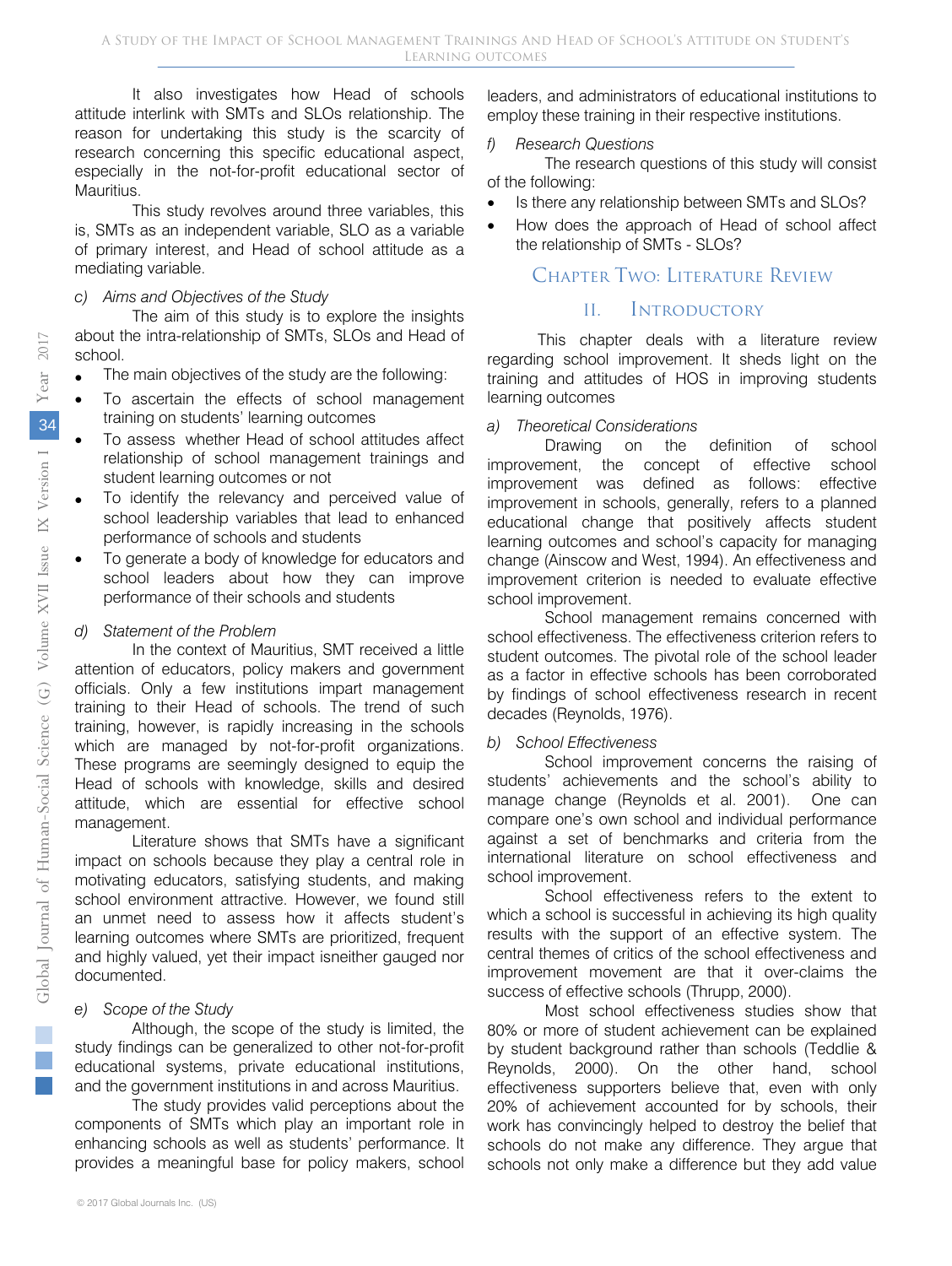It also investigates how Head of schools attitude interlink with SMTs and SLOs relationship. The reason for undertaking this study is the scarcity of research concerning this specific educational aspect, especially in the not-for-profit educational sector of Mauritius.

This study revolves around three variables, this is, SMTs as an independent variable, SLO as a variable of primary interest, and Head of school attitude as a mediating variable.

#### *c) Aims and Objectives of the Study*

The aim of this study is to explore the insights about the intra-relationship of SMTs, SLOs and Head of school.

- The main objectives of the study are the following:
- To ascertain the effects of school management training on students' learning outcomes
- To assess whether Head of school attitudes affect relationship of school management trainings and student learning outcomes or not
- To identify the relevancy and perceived value of school leadership variables that lead to enhanced performance of schools and students
- To generate a body of knowledge for educators and school leaders about how they can improve performance of their schools and students

#### *d) Statement of the Problem*

In the context of Mauritius, SMT received a little attention of educators, policy makers and government officials. Only a few institutions impart management training to their Head of schools. The trend of such training, however, is rapidly increasing in the schools which are managed by not-for-profit organizations. These programs are seemingly designed to equip the Head of schools with knowledge, skills and desired attitude, which are essential for effective school management.

Literature shows that SMTs have a significant impact on schools because they play a central role in motivating educators, satisfying students, and making school environment attractive. However, we found still an unmet need to assess how it affects student's learning outcomes where SMTs are prioritized, frequent and highly valued, yet their impact isneither gauged nor documented.

## *e) Scope of the Study*

Although, the scope of the study is limited, the study findings can be generalized to other not-for-profit educational systems, private educational institutions, and the government institutions in and across Mauritius.

The study provides valid perceptions about the components of SMTs which play an important role in enhancing schools as well as students' performance. It provides a meaningful base for policy makers, school

leaders, and administrators of educational institutions to employ these training in their respective institutions.

#### *f) Research Questions*

The research questions of this study will consist of the following:

- Is there any relationship between SMTs and SLOs?
- How does the approach of Head of school affect the relationship of SMTs - SLOs?

# Chapter Two: Literature Review

#### II. Introductory

This chapter deals with a literature review regarding school improvement. It sheds light on the training and attitudes of HOS in improving students learning outcomes

#### *a) Theoretical Considerations*

Drawing on the definition of school improvement, the concept of effective school improvement was defined as follows: effective improvement in schools, generally, refers to a planned educational change that positively affects student learning outcomes and school's capacity for managing change (Ainscow and West, 1994). An effectiveness and improvement criterion is needed to evaluate effective school improvement.

School management remains concerned with school effectiveness. The effectiveness criterion refers to student outcomes. The pivotal role of the school leader as a factor in effective schools has been corroborated by findings of school effectiveness research in recent decades (Reynolds, 1976).

#### *b) School Effectiveness*

School improvement concerns the raising of students' achievements and the school's ability to manage change (Reynolds et al. 2001). One can compare one's own school and individual performance against a set of benchmarks and criteria from the international literature on school effectiveness and school improvement.

School effectiveness refers to the extent to which a school is successful in achieving its high quality results with the support of an effective system. The central themes of critics of the school effectiveness and improvement movement are that it over-claims the success of effective schools (Thrupp, 2000).

Most school effectiveness studies show that 80% or more of student achievement can be explained by student background rather than schools (Teddlie & Reynolds, 2000). On the other hand, school effectiveness supporters believe that, even with only 20% of achievement accounted for by schools, their work has convincingly helped to destroy the belief that schools do not make any difference. They argue that schools not only make a difference but they add value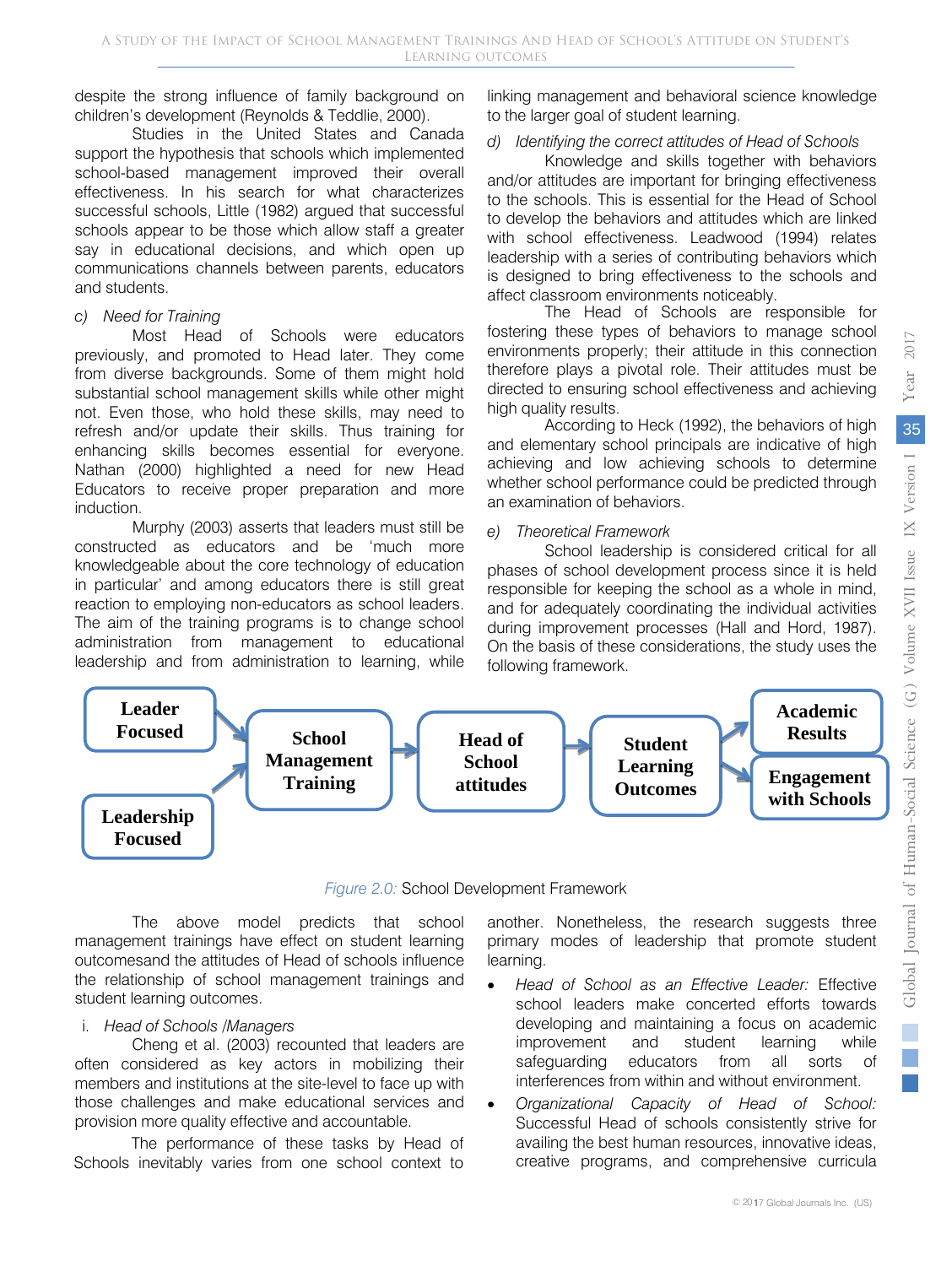despite the strong influence of family background on children's development (Reynolds & Teddlie, 2000).

Studies in the United States and Canada support the hypothesis that schools which implemented school-based management improved their overall effectiveness. In his search for what characterizes successful schools, Little (1982) argued that successful schools appear to be those which allow staff a greater say in educational decisions, and which open up communications channels between parents, educators and students.

#### *c) Need for Training*

Most Head of Schools were educators previously, and promoted to Head later. They come from diverse backgrounds. Some of them might hold substantial school management skills while other might not. Even those, who hold these skills, may need to refresh and/or update their skills. Thus training for enhancing skills becomes essential for everyone. Nathan (2000) highlighted a need for new Head Educators to receive proper preparation and more induction.

Murphy (2003) asserts that leaders must still be constructed as educators and be 'much more knowledgeable about the core technology of education in particular' and among educators there is still great reaction to employing non-educators as school leaders. The aim of the training programs is to change school administration from management to educational leadership and from administration to learning, while

linking management and behavioral science knowledge to the larger goal of student learning.

# *d) Identifying the correct attitudes of Head of Schools*

Knowledge and skills together with behaviors and/or attitudes are important for bringing effectiveness to the schools. This is essential for the Head of School to develop the behaviors and attitudes which are linked with school effectiveness. Leadwood (1994) relates leadership with a series of contributing behaviors which is designed to bring effectiveness to the schools and affect classroom environments noticeably.

The Head of Schools are responsible for fostering these types of behaviors to manage school environments properly; their attitude in this connection therefore plays a pivotal role. Their attitudes must be directed to ensuring school effectiveness and achieving high quality results.

According to Heck (1992), the behaviors of high and elementary school principals are indicative of high achieving and low achieving schools to determine whether school performance could be predicted through an examination of behaviors.

## *e) Theoretical Framework*

School leadership is considered critical for all phases of school development process since it is held responsible for keeping the school as a whole in mind, and for adequately coordinating the individual activities during improvement processes (Hall and Hord, 1987). On the basis of these considerations, the study uses the following framework.



# *Figure 2.0:* School Development Framework

The above model predicts that school management trainings have effect on student learning outcomesand the attitudes of Head of schools influence the relationship of school management trainings and student learning outcomes.

# i. *Head of Schools /Managers*

Cheng et al. (2003) recounted that leaders are often considered as key actors in mobilizing their members and institutions at the site-level to face up with those challenges and make educational services and provision more quality effective and accountable.

The performance of these tasks by Head of Schools inevitably varies from one school context to

another. Nonetheless, the research suggests three primary modes of leadership that promote student learning.

- *Head of School as an Effective Leader:* Effective school leaders make concerted efforts towards developing and maintaining a focus on academic improvement and student learning while safeguarding educators from all sorts of interferences from within and without environment.
- *Organizational Capacity of Head of School:* Successful Head of schools consistently strive for availing the best human resources, innovative ideas, creative programs, and comprehensive curricula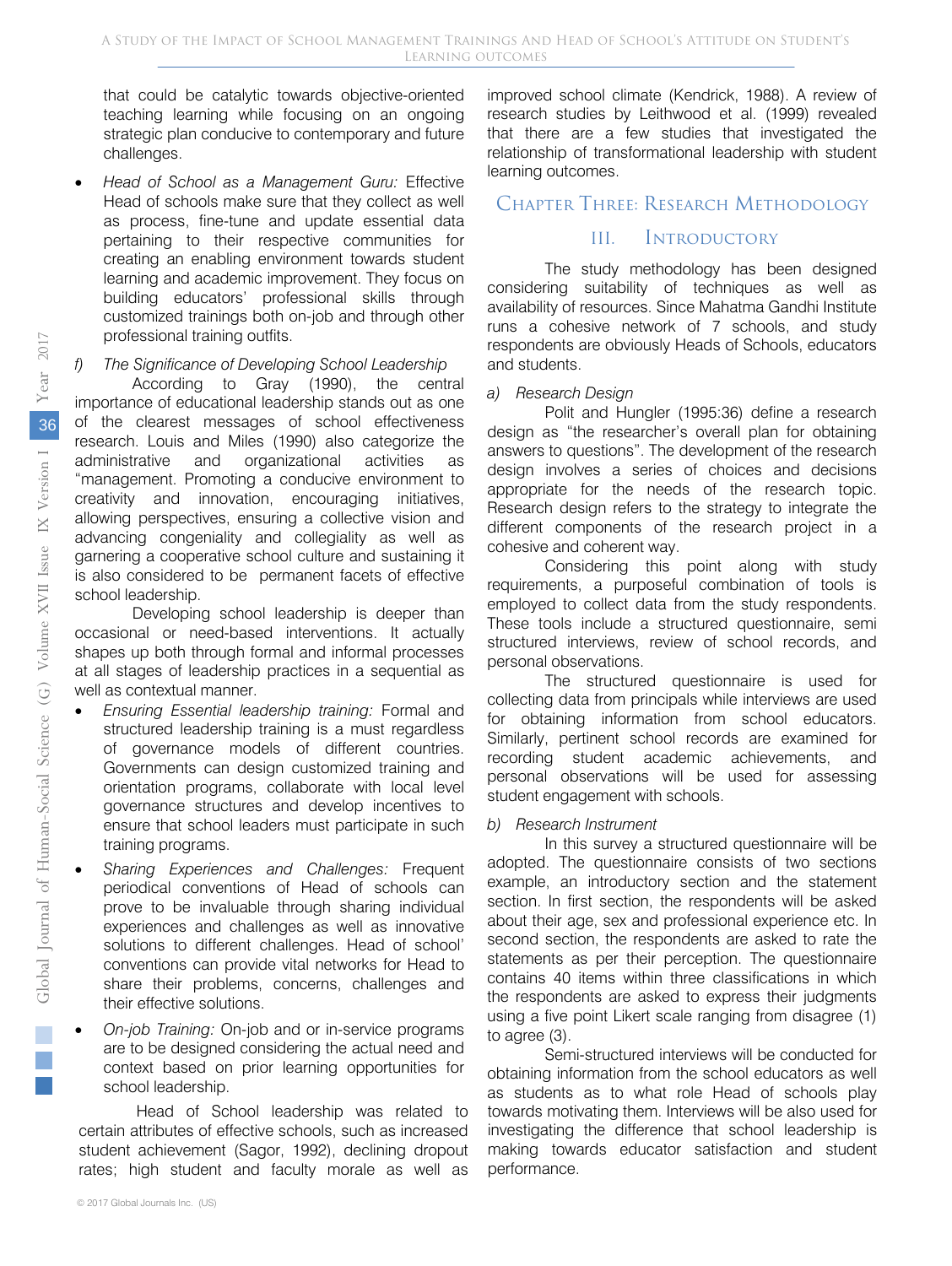that could be catalytic towards objective-oriented teaching learning while focusing on an ongoing strategic plan conducive to contemporary and future challenges.

• *Head of School as a Management Guru:* Effective creating an enabling environment towards student Head of schools make sure that they collect as well as process, fine-tune and update essential data pertaining to their respective communities for learning and academic improvement. They focus on building educators' professional skills through customized trainings both on-job and through other professional training outfits.

#### *f) The Significance of Developing School Leadership*

According to Gray (1990), the central importance of educational leadership stands out as one of the clearest messages of school effectiveness research. Louis and Miles (1990) also categorize the administrative and organizational activities as "management. Promoting a conducive environment to creativity and innovation, encouraging initiatives, allowing perspectives, ensuring a collective vision and advancing congeniality and collegiality as well as garnering a cooperative school culture and sustaining it is also considered to be permanent facets of effective school leadership.

Developing school leadership is deeper than occasional or need-based interventions. It actually shapes up both through formal and informal processes at all stages of leadership practices in a sequential as well as contextual manner.

- *Ensuring Essential leadership training:* Formal and structured leadership training is a must regardless of governance models of different countries. Governments can design customized training and orientation programs, collaborate with local level governance structures and develop incentives to ensure that school leaders must participate in such training programs.
- *Sharing Experiences and Challenges:* Frequent periodical conventions of Head of schools can prove to be invaluable through sharing individual experiences and challenges as well as innovative solutions to different challenges. Head of school' conventions can provide vital networks for Head to share their problems, concerns, challenges and their effective solutions.
- *On-job Training:* On-job and or in-service programs are to be designed considering the actual need and context based on prior learning opportunities for school leadership.

Head of School leadership was related to certain attributes of effective schools, such as increased student achievement (Sagor, 1992), declining dropout rates; high student and faculty morale as well as

improved school climate (Kendrick, 1988). A review of research studies by Leithwood et al. (1999) revealed that there are a few studies that investigated the relationship of transformational leadership with student learning outcomes.

# Chapter Three: Research Methodology

# III. Introductory

The study methodology has been designed considering suitability of techniques as well as availability of resources. Since Mahatma Gandhi Institute runs a cohesive network of 7 schools, and study respondents are obviously Heads of Schools, educators and students.

#### *a) Research Design*

Polit and Hungler (1995:36) define a research design as "the researcher's overall plan for obtaining answers to questions". The development of the research design involves a series of choices and decisions appropriate for the needs of the research topic. Research design refers to the strategy to integrate the different components of the research project in a cohesive and coherent way.

Considering this point along with study requirements, a purposeful combination of tools is employed to collect data from the study respondents. These tools include a structured questionnaire, semi structured interviews, review of school records, and personal observations.

The structured questionnaire is used for collecting data from principals while interviews are used for obtaining information from school educators. Similarly, pertinent school records are examined for recording student academic achievements, and personal observations will be used for assessing student engagement with schools.

#### *b) Research Instrument*

In this survey a structured questionnaire will be adopted. The questionnaire consists of two sections example, an introductory section and the statement section. In first section, the respondents will be asked about their age, sex and professional experience etc. In second section, the respondents are asked to rate the statements as per their perception. The questionnaire contains 40 items within three classifications in which the respondents are asked to express their judgments using a five point Likert scale ranging from disagree (1) to agree (3).

Semi-structured interviews will be conducted for obtaining information from the school educators as well as students as to what role Head of schools play towards motivating them. Interviews will be also used for investigating the difference that school leadership is making towards educator satisfaction and student performance.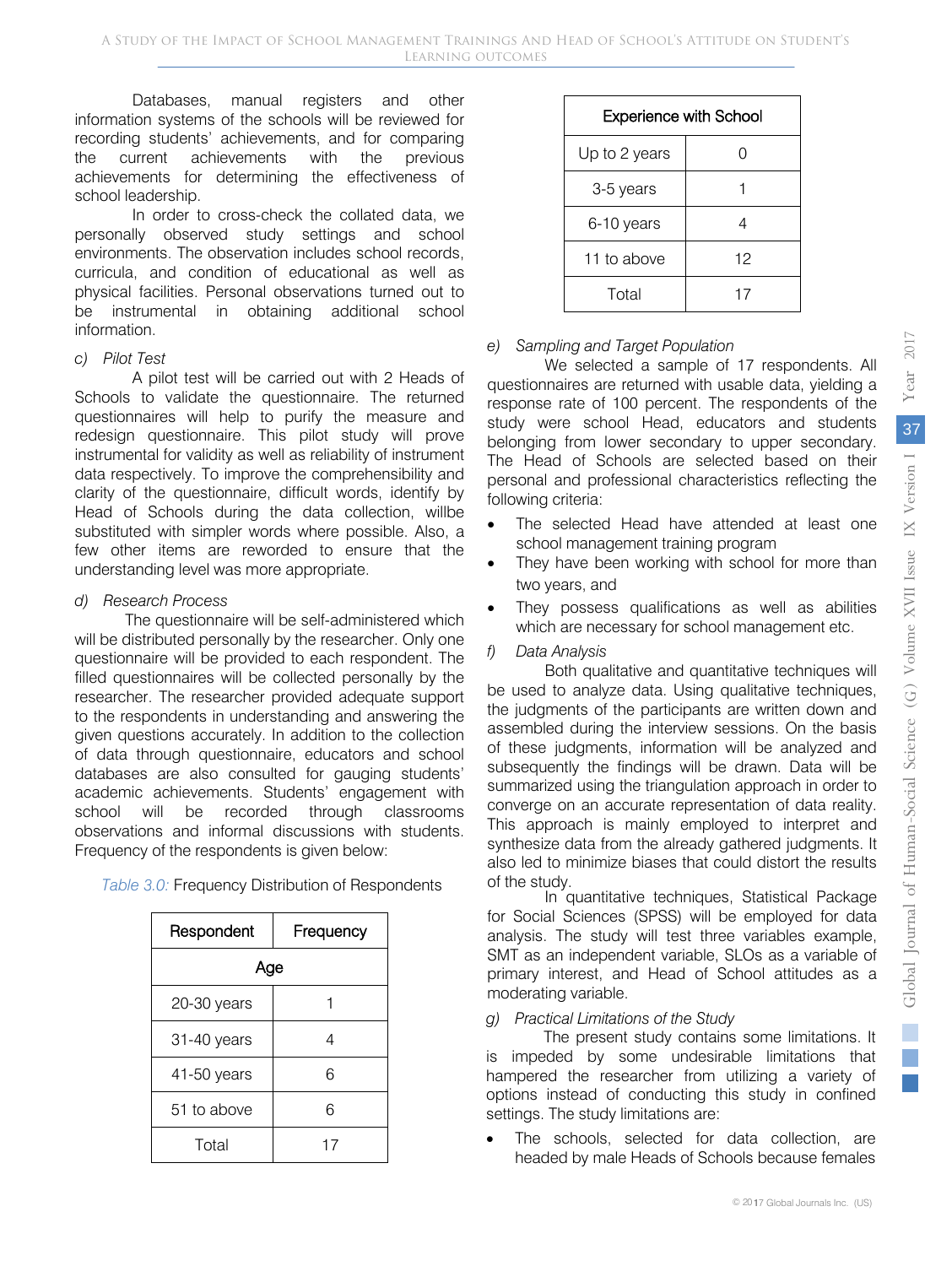Databases, manual registers and other information systems of the schools will be reviewed for recording students' achievements, and for comparing the current achievements with the previous achievements for determining the effectiveness of school leadership.

 curricula, and condition of educational as well as In order to cross-check the collated data, we personally observed study settings and school environments. The observation includes school records, physical facilities. Personal observations turned out to be instrumental in obtaining additional school information.

# *c) Pilot Test*

A pilot test will be carried out with 2 Heads of Schools to validate the questionnaire. The returned questionnaires will help to purify the measure and redesign questionnaire. This pilot study will prove instrumental for validity as well as reliability of instrument data respectively. To improve the comprehensibility and clarity of the questionnaire, difficult words, identify by Head of Schools during the data collection, willbe substituted with simpler words where possible. Also, a few other items are reworded to ensure that the understanding level was more appropriate.

# *d) Research Process*

The questionnaire will be self-administered which will be distributed personally by the researcher. Only one questionnaire will be provided to each respondent. The filled questionnaires will be collected personally by the researcher. The researcher provided adequate support to the respondents in understanding and answering the given questions accurately. In addition to the collection of data through questionnaire, educators and school databases are also consulted for gauging students' academic achievements. Students' engagement with school will be recorded through classrooms observations and informal discussions with students. Frequency of the respondents is given below:

| Respondent  | Frequency |  |  |  |
|-------------|-----------|--|--|--|
| Age         |           |  |  |  |
| 20-30 years |           |  |  |  |
| 31-40 years |           |  |  |  |
| 41-50 years | 6         |  |  |  |
| 51 to above | 6         |  |  |  |
| Total       | 17        |  |  |  |

*Table 3.0:* Frequency Distribution of Respondents

| <b>Experience with School</b> |    |  |  |  |
|-------------------------------|----|--|--|--|
| Up to 2 years                 | 0  |  |  |  |
| 3-5 years                     |    |  |  |  |
| 6-10 years                    |    |  |  |  |
| 11 to above                   | 12 |  |  |  |
| Total                         | 17 |  |  |  |

# *e) Sampling and Target Population*

We selected a sample of 17 respondents. All questionnaires are returned with usable data, yielding a response rate of 100 percent. The respondents of the study were school Head, educators and students belonging from lower secondary to upper secondary. The Head of Schools are selected based on their personal and professional characteristics reflecting the following criteria:

- The selected Head have attended at least one school management training program
- They have been working with school for more than two years, and
- They possess qualifications as well as abilities which are necessary for school management etc.

# *f) Data Analysis*

Both qualitative and quantitative techniques will be used to analyze data. Using qualitative techniques, the judgments of the participants are written down and assembled during the interview sessions. On the basis of these judgments, information will be analyzed and subsequently the findings will be drawn. Data will be summarized using the triangulation approach in order to converge on an accurate representation of data reality. This approach is mainly employed to interpret and synthesize data from the already gathered judgments. It also led to minimize biases that could distort the results of the study.

In quantitative techniques, Statistical Package for Social Sciences (SPSS) will be employed for data analysis. The study will test three variables example, SMT as an independent variable, SLOs as a variable of primary interest, and Head of School attitudes as a moderating variable.

# *g) Practical Limitations of the Study*

The present study contains some limitations. It is impeded by some undesirable limitations that hampered the researcher from utilizing a variety of options instead of conducting this study in confined settings. The study limitations are:

The schools, selected for data collection, are headed by male Heads of Schools because females

2017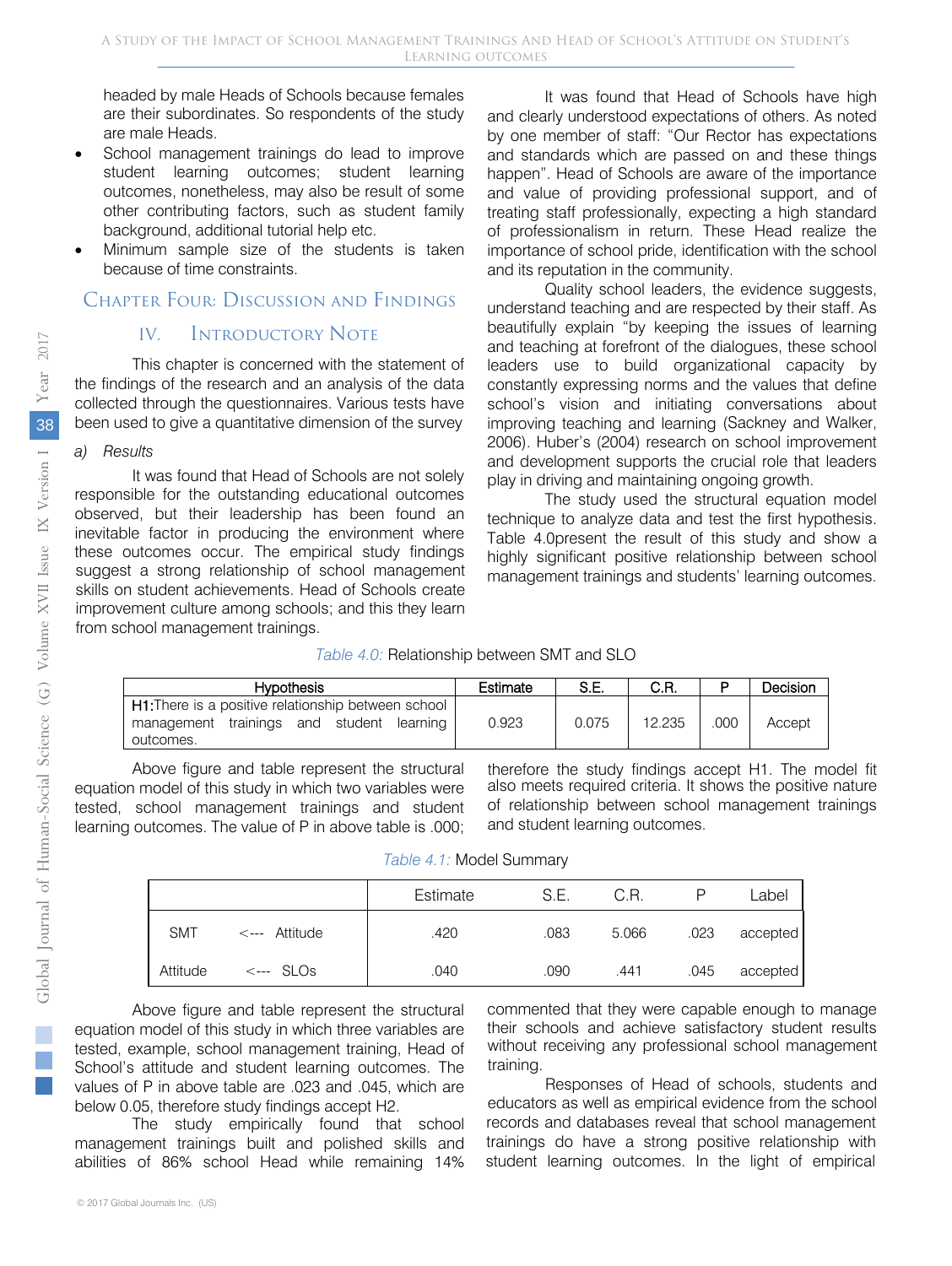headed by male Heads of Schools because females are their subordinates. So respondents of the study are male Heads.

- School management trainings do lead to improve student learning outcomes; student learning outcomes, nonetheless, may also be result of some other contributing factors, such as student family background, additional tutorial help etc.
- Minimum sample size of the students is taken because of time constraints.

# Chapter Four: Discussion and Findings

# IV. Introductory Note

This chapter is concerned with the statement of the findings of the research and an analysis of the data collected through the questionnaires. Various tests have been used to give a quantitative dimension of the survey

#### *a) Results*

It was found that Head of Schools are not solely responsible for the outstanding educational outcomes observed, but their leadership has been found an inevitable factor in producing the environment where these outcomes occur. The empirical study findings suggest a strong relationship of school management skills on student achievements. Head of Schools create improvement culture among schools; and this they learn from school management trainings.

It was found that Head of Schools have high and clearly understood expectations of others. As noted by one member of staff: "Our Rector has expectations and standards which are passed on and these things happen". Head of Schools are aware of the importance and value of providing professional support, and of treating staff professionally, expecting a high standard of professionalism in return. These Head realize the importance of school pride, identification with the school and its reputation in the community.

Quality school leaders, the evidence suggests, understand teaching and are respected by their staff. As beautifully explain "by keeping the issues of learning and teaching at forefront of the dialogues, these school leaders use to build organizational capacity by constantly expressing norms and the values that define school's vision and initiating conversations about improving teaching and learning ( Sackney and Walker, 2006). Huber's (2004) research on school improvement and development supports the crucial role that leaders play in driving and maintaining ongoing growth.

The study used the structural equation model technique to analyze data and test the first hypothesis. Table 4.0present the result of this study and show a highly significant positive relationship between school management trainings and students' learning outcomes.

| Table 4.0: Relationship between SMT and SLO |  |  |  |  |  |  |
|---------------------------------------------|--|--|--|--|--|--|
|---------------------------------------------|--|--|--|--|--|--|

| <b>Hypothesis</b>                                                                                                    | Estimate | S.E.  | C.R.   |     | Decision |
|----------------------------------------------------------------------------------------------------------------------|----------|-------|--------|-----|----------|
| <b>H1.</b> There is a positive relationship between school<br>management trainings and student learning<br>outcomes. | 0.923    | 0.075 | 12.235 | 000 | Accept   |

Above figure and table represent the structural equation model of this study in which two variables were tested, school management trainings and student learning outcomes. The value of P in above table is .000;

therefore the study findings accept H1. The model fit also meets required criteria. It shows the positive nature of relationship between school management trainings and student learning outcomes.

| Table 4.1: Model Summary |  |
|--------------------------|--|
|--------------------------|--|

|            |                          | Estimate | S.E. | C.R.  |      | Label    |
|------------|--------------------------|----------|------|-------|------|----------|
| <b>SMT</b> | $\leftarrow$ -- Attitude | .420     | .083 | 5.066 | .023 | accepted |
| Attitude   | $\leftarrow$ SLOs        | .040     | .090 | .441  | .045 | accepted |

Above figure and table represent the structural equation model of this study in which three variables are tested, example, school management training, Head of School's attitude and student learning outcomes. The values of P in above table are .023 and .045, which are below 0.05, therefore study findings accept H2.

The study empirically found that school management trainings built and polished skills and abilities of 86% school Head while remaining 14%

commented that they were capable enough to manage their schools and achieve satisfactory student results without receiving any professional school management training.

Responses of Head of schools, students and educators as well as empirical evidence from the school records and databases reveal that school management trainings do have a strong positive relationship with student learning outcomes. In the light of empirical

i.  $\mathbb{R}^n$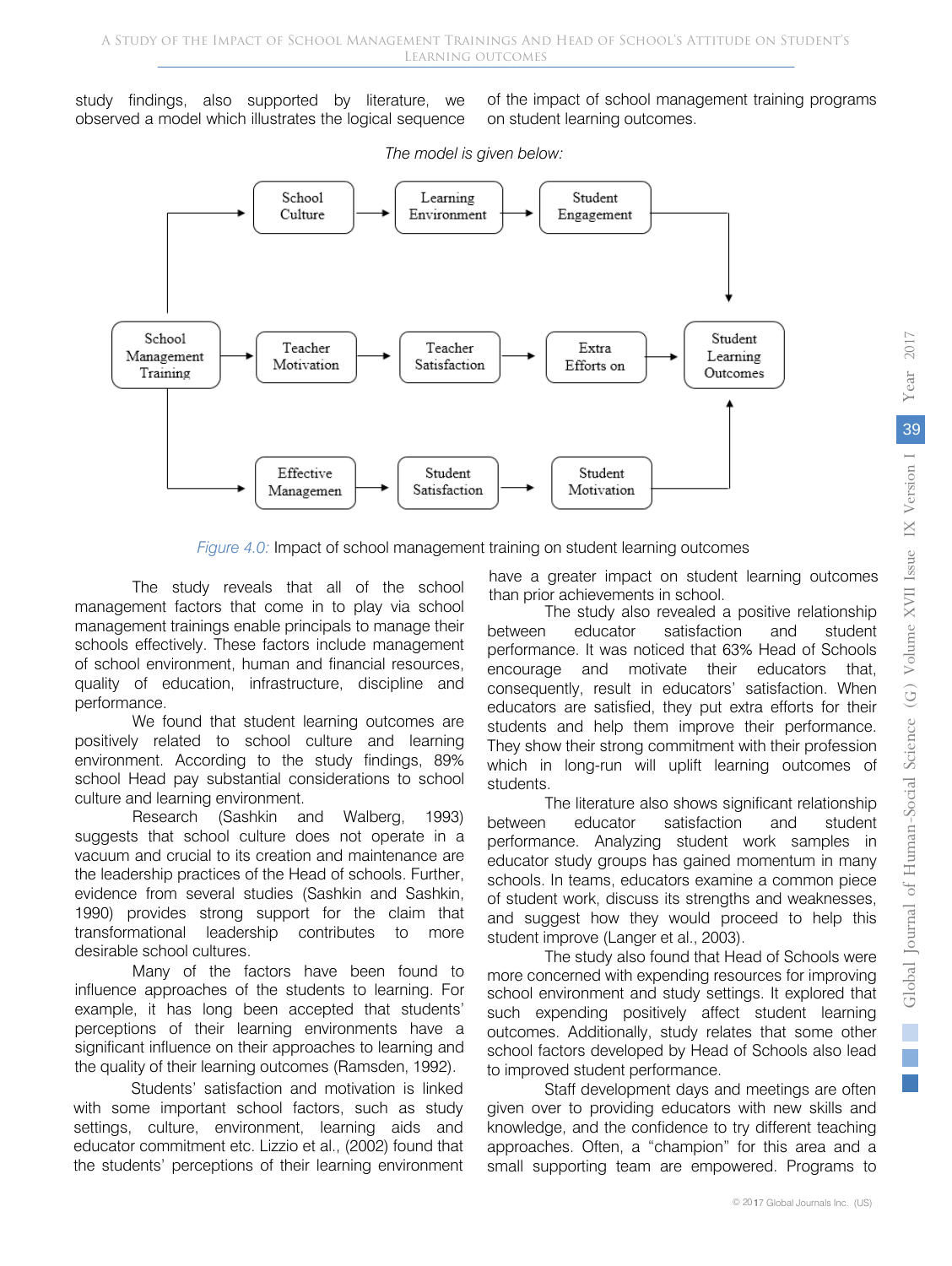study findings, also supported by literature, we observed a model which illustrates the logical sequence

of the impact of school management training programs on student learning outcomes.



*The model is given below:*

*Figure 4.0:* Impact of school management training on student learning outcomes

The study reveals that all of the school management factors that come in to play via school management trainings enable principals to manage their schools effectively. These factors include management of school environment, human and financial resources, quality of education, infrastructure, discipline and performance.

We found that student learning outcomes are positively related to school culture and learning environment. According to the study findings, 89% school Head pay substantial considerations to school culture and learning environment.

Research (Sashkin and Walberg, 1993) suggests that school culture does not operate in a vacuum and crucial to its creation and maintenance are the leadership practices of the Head of schools. Further, evidence from several studies (Sashkin and Sashkin, 1990) provides strong support for the claim that transformational leadership contributes to more desirable school cultures.

Many of the factors have been found to influence approaches of the students to learning. For example, it has long been accepted that students' perceptions of their learning environments have a significant influence on their approaches to learning and the quality of their learning outcomes (Ramsden, 1992).

Students' satisfaction and motivation is linked with some important school factors, such as study settings, culture, environment, learning aids and educator commitment etc. Lizzio et al., (2002) found that the students' perceptions of their learning environment have a greater impact on student learning outcomes than prior achievements in school.

The study also revealed a positive relationship between educator satisfaction and student performance. It was noticed that 63% Head of Schools encourage and motivate their educators that, consequently, result in educators' satisfaction. When educators are satisfied, they put extra efforts for their students and help them improve their performance. They show their strong commitment with their profession which in long-run will uplift learning outcomes of students.

The literature also shows significant relationship between educator satisfaction and student performance. Analyzing student work samples in educator study groups has gained momentum in many schools. In teams, educators examine a common piece of student work, discuss its strengths and weaknesses, and suggest how they would proceed to help this student improve (Langer et al., 2003).

The study also found that Head of Schools were more concerned with expending resources for improving school environment and study settings. It explored that such expending positively affect student learning outcomes. Additionally, study relates that some other school factors developed by Head of Schools also lead to improved student performance.

Staff development days and meetings are often given over to providing educators with new skills and knowledge, and the confidence to try different teaching approaches. Often, a "champion" for this area and a small supporting team are empowered. Programs to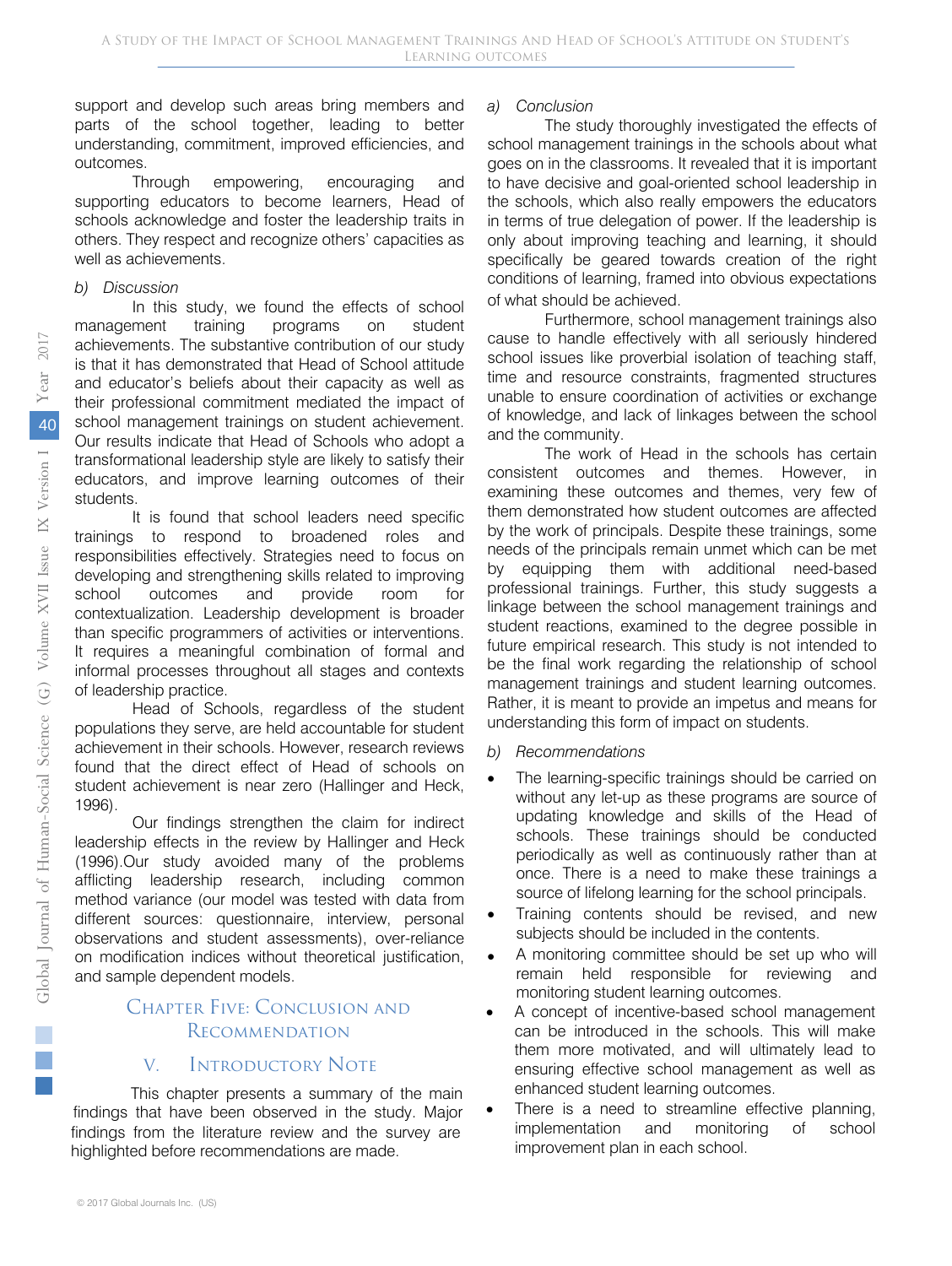support and develop such areas bring members and parts of the school together, leading to better understanding, commitment, improved efficiencies, and outcomes.

Through empowering, encouraging and supporting educators to become learners, Head of schools acknowledge and foster the leadership traits in others. They respect and recognize others' capacities as well as achievements.

#### *b) Discussion*

In this study, we found the effects of school management training programs on student achievements. The substantive contribution of our study is that it has demonstrated that Head of School attitude and educator's beliefs about their capacity as well as their professional commitment mediated the impact of school management trainings on student achievement. Our results indicate that Head of Schools who adopt a transformational leadership style are likely to satisfy their educators, and improve learning outcomes of their students.

It is found that school leaders need specific trainings to respond to broadened roles and responsibilities effectively. Strategies need to focus on developing and strengthening skills related to improving school outcomes and provide room for contextualization. Leadership development is broader than specific programmers of activities or interventions. It requires a meaningful combination of formal and informal processes throughout all stages and contexts of leadership practice.

Head of Schools, regardless of the student populations they serve, are held accountable for student achievement in their schools. However, research reviews found that the direct effect of Head of schools on student achievement is near zero (Hallinger and Heck, 1996).

Our findings strengthen the claim for indirect leadership effects in the review by Hallinger and Heck (1996).Our study avoided many of the problems afflicting leadership research, including common method variance (our model was tested with data from different sources: questionnaire, interview, personal observations and student assessments), over-reliance on modification indices without theoretical justification, and sample dependent models.

# Chapter Five: Conclusion and **RECOMMENDATION**

# V. Introductory Note

This chapter presents a summary of the main findings that have been observed in the study. Major findings from the literature review and the survey are highlighted before recommendations are made.

#### *a) Conclusion*

The study thoroughly investigated the effects of school management trainings in the schools about what goes on in the classrooms. It revealed that it is important to have decisive and goal-oriented school leadership in the schools, which also really empowers the educators in terms of true delegation of power. If the leadership is only about improving teaching and learning, it should specifically be geared towards creation of the right conditions of learning, framed into obvious expectations of what should be achieved.

Furthermore, school management trainings also cause to handle effectively with all seriously hindered school issues like proverbial isolation of teaching staff, time and resource constraints, fragmented structures unable to ensure coordination of activities or exchange of knowledge, and lack of linkages between the school and the community.

The work of Head in the schools has certain consistent outcomes and themes. However, in examining these outcomes and themes, very few of them demonstrated how student outcomes are affected by the work of principals. Despite these trainings, some needs of the principals remain unmet which can be met by equipping them with additional need-based professional trainings. Further, this study suggests a linkage between the school management trainings and student reactions, examined to the degree possible in future empirical research. This study is not intended to be the final work regarding the relationship of school management trainings and student learning outcomes. Rather, it is meant to provide an impetus and means for understanding this form of impact on students.

## *b) Recommendations*

- The learning-specific trainings should be carried on without any let-up as these programs are source of updating knowledge and skills of the Head of schools. These trainings should be conducted periodically as well as continuously rather than at once. There is a need to make these trainings a source of lifelong learning for the school principals.
- Training contents should be revised, and new subjects should be included in the contents.
- A monitoring committee should be set up who will remain held responsible for reviewing and monitoring student learning outcomes.
- A concept of incentive-based school management can be introduced in the schools. This will make them more motivated, and will ultimately lead to ensuring effective school management as well as enhanced student learning outcomes.
- There is a need to streamline effective planning, implementation and monitoring of school improvement plan in each school.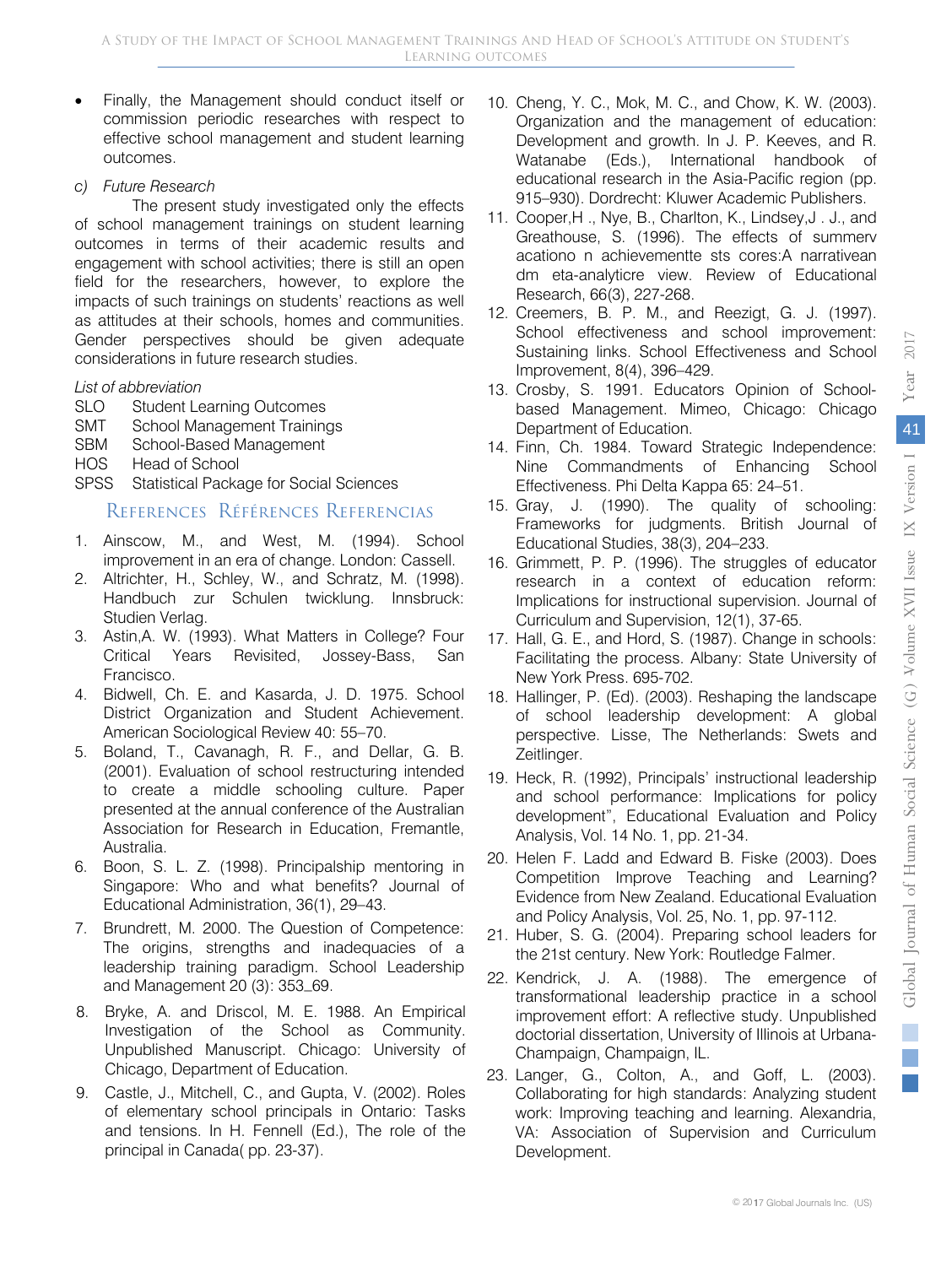2017

- Finally, the Management should conduct itself or commission periodic researches with respect to effective school management and student learning outcomes.
- *c) Future Research*

The present study investigated only the effects of school management trainings on student learning outcomes in terms of their academic results and engagement with school activities; there is still an open field for the researchers, however, to explore the impacts of such trainings on students' reactions as well as attitudes at their schools, homes and communities. Gender perspectives should be given adequate considerations in future research studies.

## *List of abbreviation*

- SLO Student Learning Outcomes
- SMT School Management Trainings
- SBM School-Based Management
- HOS Head of School
- SPSS Statistical Package for Social Sciences

# References Références Referencias

- improvement in an era of change. London: Cassell. 1. Ainscow, M., and West, M. (1994). School
- 2. Altrichter, H., Schley, W., and Schratz, M. (1998). Handbuch zur Schulen twicklung. Innsbruck: Studien Verlag.
- 3. Astin,A. W. (1993). What Matters in College? Four Critical Years Revisited, Jossey-Bass, San Francisco.
- 4. Bidwell, Ch. E. and Kasarda, J. D. 1975. School District Organization and Student Achievement. American Sociological Review 40: 55–70.
- 5. Boland, T., Cavanagh, R. F., and Dellar, G. B. (2001). Evaluation of school restructuring intended to create a middle schooling culture. Paper presented at the annual conference of the Australian Association for Research in Education, Fremantle, Australia.
- 6. Boon, S. L. Z. (1998). Principalship mentoring in Singapore: Who and what benefits? Journal of Educational Administration, 36(1), 29–43.
- 7. Brundrett, M. 2000. The Question of Competence: The origins, strengths and inadequacies of a leadership training paradigm. School Leadership and Management 20 (3): 353–69.
- 8. Bryke, A. and Driscol, M. E. 1988. An Empirical Investigation of the School as Community. Unpublished Manuscript. Chicago: University of Chicago, Department of Education.
- 9. Castle, J., Mitchell, C., and Gupta, V. (2002). Roles of elementary school principals in Ontario: Tasks and tensions. In H. Fennell (Ed.), The role of the principal in Canada( pp. 23-37).
- 10. Cheng, Y. C., Mok, M. C., and Chow, K. W. (2003). Organization and the management of education: Development and growth. In J. P. Keeves, and R. Watanabe (Eds.), International handbook of educational research in the Asia-Pacific region (pp. 915–930). Dordrecht: Kluwer Academic Publishers.
- 11. Cooper,H ., Nye, B., Charlton, K., Lindsey,J . J., and Greathouse, S. (1996). The effects of summerv acationo n achievementte sts cores:A narrativean dm eta-analyticre view. Review of Educational Research, 66(3), 227-268.
- 12. Creemers, B. P. M., and Reezigt, G. J. (1997). School effectiveness and school improvement: Sustaining links. School Effectiveness and School Improvement, 8(4), 396–429.
- 13. Crosby, S. 1991. Educators Opinion of Schoolbased Management. Mimeo, Chicago: Chicago Department of Education.
- 14. Finn, Ch. 1984. Toward Strategic Independence: Nine Commandments of Enhancing School Effectiveness. Phi Delta Kappa 65: 24–51.
- 15. Gray, J. (1990). The quality of schooling: Frameworks for judgments. British Journal of Educational Studies, 38(3), 204–233.
- 16. Grimmett, P. P. (1996). The struggles of educator research in a context of education reform: Implications for instructional supervision. Journal of Curriculum and Supervision, 12(1), 37-65.
- 17. Hall, G. E., and Hord, S. (1987). Change in schools: Facilitating the process. Albany: State University of New York Press. 695-702.
- 18. Hallinger, P. (Ed). (2003). Reshaping the landscape of school leadership development: A global perspective. Lisse, The Netherlands: Swets and Zeitlinger.
- 19. Heck, R. (1992), Principals' instructional leadership and school performance: Implications for policy development", Educational Evaluation and Policy Analysis, Vol. 14 No. 1, pp. 21-34.
- 20. Helen F. Ladd and Edward B. Fiske (2003). Does Competition Improve Teaching and Learning? Evidence from New Zealand. Educational Evaluation and Policy Analysis, Vol. 25, No. 1, pp. 97-112.
- 21. Huber, S. G. (2004). Preparing school leaders for the 21st century. New York: Routledge Falmer.
- 22. Kendrick, J. A. (1988). The emergence of transformational leadership practice in a school improvement effort: A reflective study. Unpublished doctorial dissertation, University of Illinois at Urbana-Champaign, Champaign, IL.
- 23. Langer, G., Colton, A., and Goff, L. (2003). Collaborating for high standards: Analyzing student work: Improving teaching and learning. Alexandria, VA: Association of Supervision and Curriculum Development.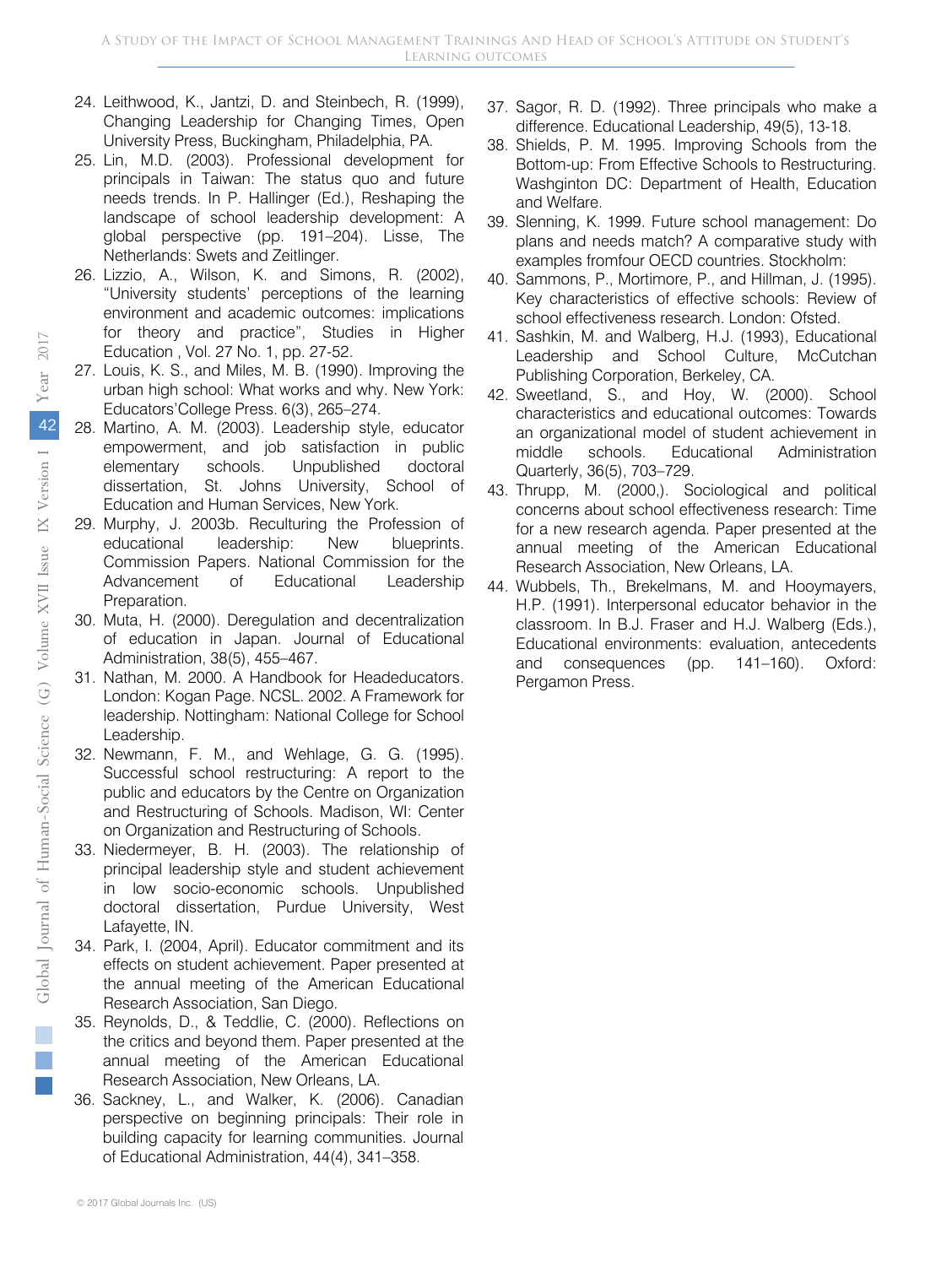- 24. Leithwood, K., Jantzi, D. and Steinbech, R. (1999), Changing Leadership for Changing Times, Open University Press, Buckingham, Philadelphia, PA.
- 25. Lin, M.D. (2003). Professional development for principals in Taiwan: The status quo and future needs trends. In P. Hallinger (Ed.), Reshaping the landscape of school leadership development: A global perspective (pp. 191–204). Lisse, The Netherlands: Swets and Zeitlinger.
- 26. Lizzio, A., Wilson, K. and Simons, R. (2002), "University students' perceptions of the learning environment and academic outcomes: implications for theory and practice", Studies in Higher Education , Vol. 27 No. 1, pp. 27-52.
- 27. Louis, K. S., and Miles, M. B. (1990). Improving the urban high school: What works and why. New York: Educators'College Press. 6(3), 265–274.
- 28. Martino, A. M. (2003). Leadership style, educator empowerment, and job satisfaction in public elementary schools. Unpublished doctoral dissertation, St. Johns University, School of Education and Human Services, New York.
- 29. Murphy, J. 2003b. Reculturing the Profession of educational leadership: New blueprints. Commission Papers. National Commission for the Advancement of Educational Leadership Preparation.
- 30. Muta, H. (2000). Deregulation and decentralization of education in Japan. Journal of Educational Administration, 38(5), 455–467.
- 31. Nathan, M. 2000. A Handbook for Headeducators. London: Kogan Page. NCSL. 2002. A Framework for leadership. Nottingham: National College for School Leadership.
- 32. Newmann, F. M., and Wehlage, G. G. (1995). Successful school restructuring: A report to the public and educators by the Centre on Organization and Restructuring of Schools. Madison, WI: Center on Organization and Restructuring of Schools.
- 33. Niedermeyer, B. H. (2003). The relationship of principal leadership style and student achievement in low socio-economic schools. Unpublished doctoral dissertation, Purdue University, West Lafayette, IN.
- 34. Park, I. (2004, April). Educator commitment and its effects on student achievement. Paper presented at the annual meeting of the American Educational Research Association, San Diego.
- 35. Reynolds, D., & Teddlie, C. (2000). Reflections on the critics and beyond them. Paper presented at the annual meeting of the American Educational Research Association, New Orleans, LA.
- 36. Sackney, L., and Walker, K. (2006). Canadian perspective on beginning principals: Their role in building capacity for learning communities. Journal of Educational Administration, 44(4), 341–358.
- 37. Sagor, R. D. (1992). Three principals who make a difference. Educational Leadership, 49(5), 13-18.
- 38. Shields, P. M. 1995. Improving Schools from the Bottom-up: From Effective Schools to Restructuring. Washginton DC: Department of Health, Education and Welfare.
- 39. Slenning, K. 1999. Future school management: Do plans and needs match? A comparative study with examples fromfour OECD countries. Stockholm:
- 40. Sammons, P., Mortimore, P., and Hillman, J. (1995). Key characteristics of effective schools: Review of school effectiveness research. London: Ofsted.
- 41. Sashkin, M. and Walberg, H.J. (1993), Educational Leadership and School Culture, McCutchan Publishing Corporation, Berkeley, CA.
- 42. Sweetland, S., and Hoy, W. (2000). School characteristics and educational outcomes: Towards an organizational model of student achievement in middle schools. Educational Administration Quarterly, 36(5), 703–729.
- 43. Thrupp, M. (2000,). Sociological and political concerns about school effectiveness research: Time for a new research agenda. Paper presented at the annual meeting of the American Educational Research Association, New Orleans, LA.
- 44. Wubbels, Th., Brekelmans, M. and Hooymayers, H.P. (1991). Interpersonal educator behavior in the classroom. In B.J. Fraser and H.J. Walberg (Eds.), Educational environments: evaluation, antecedents and consequences (pp. 141–160). Oxford: Pergamon Press.

 $\mathbb{R}^2$ 

© 2017 Global Journals Inc. (US)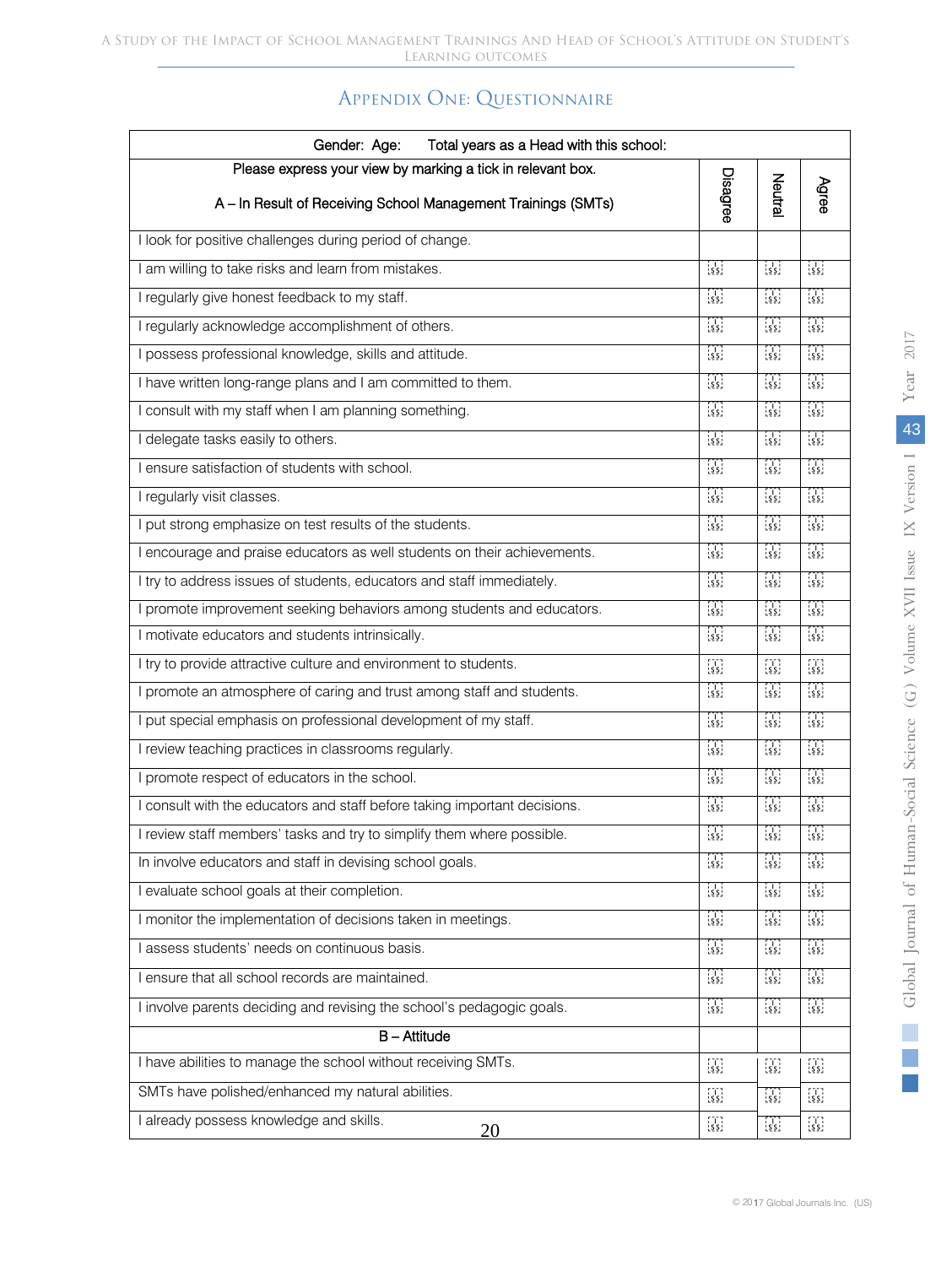# Appendix One: Questionnaire

| Gender: Age:<br>Total years as a Head with this school:                                                                      |                                                                     |                                                                     |                                                                     |  |  |
|------------------------------------------------------------------------------------------------------------------------------|---------------------------------------------------------------------|---------------------------------------------------------------------|---------------------------------------------------------------------|--|--|
| Please express your view by marking a tick in relevant box.<br>A - In Result of Receiving School Management Trainings (SMTs) | Disagree                                                            | Neutral                                                             | Agree                                                               |  |  |
| I look for positive challenges during period of change.                                                                      |                                                                     |                                                                     |                                                                     |  |  |
| I am willing to take risks and learn from mistakes.                                                                          | $\begin{bmatrix} 1 \\ 2 \end{bmatrix}$                              | $\frac{1}{2}$                                                       | $\begin{bmatrix} 1 \\ 5 \end{bmatrix}$                              |  |  |
| I regularly give honest feedback to my staff.                                                                                | $\frac{1}{2}$                                                       | $\frac{1}{2}$                                                       | $\frac{1}{2}$                                                       |  |  |
| I regularly acknowledge accomplishment of others.                                                                            | $\frac{1}{2}$                                                       | $\frac{1}{2}$                                                       | $\begin{bmatrix} 1 & 1 \\ 2 & 5 \end{bmatrix}$                      |  |  |
| I possess professional knowledge, skills and attitude.                                                                       | $\frac{1}{2}$                                                       | $\frac{1}{2}$                                                       | $\frac{1}{2}$                                                       |  |  |
| I have written long-range plans and I am committed to them.                                                                  | $\frac{1}{2}$                                                       | $\frac{1}{2}$                                                       | $\frac{1}{2}$                                                       |  |  |
| I consult with my staff when I am planning something.                                                                        | $\begin{bmatrix} 1 & 1 \\ 2 & 2 \end{bmatrix}$                      | $\begin{bmatrix} 1 \\ 2 \end{bmatrix}$                              | $\frac{1}{2}$                                                       |  |  |
| I delegate tasks easily to others.                                                                                           | $\frac{1}{2}$                                                       | $\frac{1}{2}$                                                       | $\frac{1}{2}$                                                       |  |  |
| I ensure satisfaction of students with school.                                                                               | $\frac{1}{2}$                                                       | $\left[\frac{1}{2}\right]$                                          | $\frac{1}{2}$                                                       |  |  |
| I regularly visit classes.                                                                                                   | $\frac{1}{2}$                                                       | $\frac{1}{2}$                                                       | $\begin{bmatrix} 1 \\ 2 \end{bmatrix}$                              |  |  |
| I put strong emphasize on test results of the students.                                                                      | $\left[\frac{1}{2}\right]$                                          | $\left[\frac{1}{2}\right]$                                          | $\frac{1}{2}$                                                       |  |  |
| I encourage and praise educators as well students on their achievements.                                                     | $\frac{1}{2}$                                                       | $\left[\begin{smallmatrix} 1\\ 5 \end{smallmatrix}\right]$          | $\frac{1}{2}$                                                       |  |  |
| I try to address issues of students, educators and staff immediately.                                                        | $\frac{1}{2}$                                                       | $\frac{1}{2}$                                                       | $\frac{1}{2}$                                                       |  |  |
| I promote improvement seeking behaviors among students and educators.                                                        | $\frac{1}{2}$                                                       | $\frac{1}{2}$                                                       | $\frac{1}{2}$                                                       |  |  |
| I motivate educators and students intrinsically.                                                                             | $\frac{1}{2}$                                                       | $\left[\begin{smallmatrix} 1\\ 2\end{smallmatrix}\right]$           | $\frac{1}{2}$                                                       |  |  |
| I try to provide attractive culture and environment to students.                                                             | $\begin{bmatrix} 1 \\ 2 \end{bmatrix}$                              | $\left[\begin{smallmatrix} 1 & 1 \\ 5 & 5 \end{smallmatrix}\right]$ | $\left[\begin{smallmatrix} 1 & 1 \\ 2 & 5 \end{smallmatrix}\right]$ |  |  |
| I promote an atmosphere of caring and trust among staff and students.                                                        | $\frac{1}{2}$                                                       | $\frac{1}{2}$                                                       | $\begin{bmatrix} 1 & 1 \\ 2 & 2 \end{bmatrix}$                      |  |  |
| I put special emphasis on professional development of my staff.                                                              | $\begin{bmatrix} 1 \\ 2 \\ 3 \end{bmatrix}$                         | $\left[\begin{smallmatrix} 1\\ 5 \end{smallmatrix}\right]$          | $\frac{1}{2}$                                                       |  |  |
| I review teaching practices in classrooms regularly.                                                                         | $\frac{1}{2}$                                                       | $\frac{1}{2}$                                                       | $\begin{bmatrix} 1 \\ 5 \end{bmatrix}$                              |  |  |
| I promote respect of educators in the school.                                                                                |                                                                     | $\frac{1}{2}$                                                       | $\frac{1}{2}$                                                       |  |  |
| I consult with the educators and staff before taking important decisions.                                                    | $\frac{1}{2}$                                                       | $\frac{1}{2}$                                                       | $\begin{bmatrix} 1 \\ 2 \\ 3 \end{bmatrix}$                         |  |  |
| I review staff members' tasks and try to simplify them where possible.                                                       | $\frac{1}{2}$                                                       | $\frac{1}{2}$                                                       | $\begin{bmatrix} 1 \\ 2 \\ 3 \end{bmatrix}$                         |  |  |
| In involve educators and staff in devising school goals.                                                                     | $\begin{bmatrix} 1 \\ 2 \\ 3 \end{bmatrix}$                         | $\frac{1}{2}$                                                       | $\frac{1}{2}$                                                       |  |  |
| I evaluate school goals at their completion.                                                                                 | $\frac{1}{2}$                                                       | $\left[\begin{smallmatrix} 1 & 1 \\ 2 & 2 \end{smallmatrix}\right]$ | $\frac{1}{2}$                                                       |  |  |
| I monitor the implementation of decisions taken in meetings.                                                                 | $\begin{bmatrix} 1 \\ 2 \end{bmatrix}$                              | $\left[\begin{smallmatrix}1\\5\\5\end{smallmatrix}\right]$          | $\left[\begin{smallmatrix} 1 & 1 \\ 2 & 2 \end{smallmatrix}\right]$ |  |  |
| I assess students' needs on continuous basis.                                                                                | $\left[\begin{smallmatrix} 1 & 1 \\ 2 & 2 \end{smallmatrix}\right]$ | $\left[\begin{smallmatrix} 1 & 1 \\ 2 & 2 \end{smallmatrix}\right]$ | $\begin{bmatrix} 1 \\ 2 \\ 3 \end{bmatrix}$                         |  |  |
| I ensure that all school records are maintained.                                                                             | $\begin{bmatrix} 1 \\ 2 \\ 3 \end{bmatrix}$                         | $\left[\begin{smallmatrix} 1 & 1 \\ 2 & 2 \end{smallmatrix}\right]$ | $\frac{1}{2}$                                                       |  |  |
| I involve parents deciding and revising the school's pedagogic goals.                                                        | $\frac{1}{2}$                                                       | $\left[\frac{1}{2}\right]$                                          | $\frac{1}{2}$                                                       |  |  |
| $B -$ Attitude                                                                                                               |                                                                     |                                                                     |                                                                     |  |  |
| I have abilities to manage the school without receiving SMTs.                                                                | $\left[\begin{smallmatrix} 1 & 1 \\ 2 & 2 \end{smallmatrix}\right]$ | $\left[\begin{smallmatrix} 1\\ 2\end{smallmatrix}\right]$           | $\begin{bmatrix} 1 \\ 2 \end{bmatrix}$                              |  |  |
| SMTs have polished/enhanced my natural abilities.                                                                            | $\begin{bmatrix} 1 \\ 2 \end{bmatrix}$                              | $\left[\begin{smallmatrix} 1\\ 2\\ 2 \end{smallmatrix}\right]$      | $\begin{bmatrix} 1 \\ 2 \end{bmatrix}$                              |  |  |
| I already possess knowledge and skills.<br>20                                                                                | $\begin{bmatrix} 1 \\ 2 \\ 3 \end{bmatrix}$                         | $\left[\begin{smallmatrix}1\\5\\5\end{smallmatrix}\right]$          | $\begin{bmatrix} 1 \\ 2 \\ 3 \end{bmatrix}$                         |  |  |